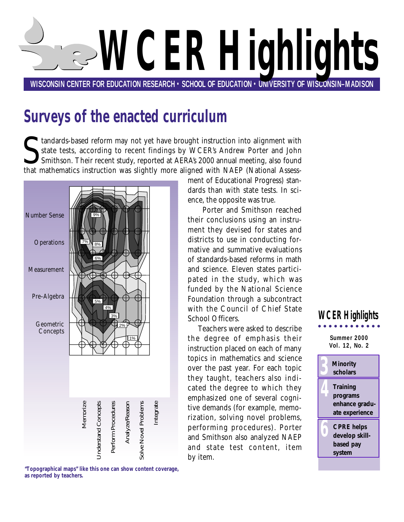<span id="page-0-0"></span>

# **Surveys of the enacted curriculum**

It and and a reform may not yet have brought instruction into alignment with<br>state tests, according to recent findings by WCER's Andrew Porter and John<br>Smithson. Their recent study, reported at AERA's 2000 annual meeting, tandards-based reform may not yet have brought instruction into alignment with state tests, according to recent findings by WCER's Andrew Porter and John Smithson. Their recent study, reported at AERA's 2000 annual meeting, also found



**"Topographical maps" like this one can show content coverage, as reported by teachers.**

ment of Educational Progress) standards than with state tests. In science, the opposite was true.

Porter and Smithson reached their conclusions using an instrument they devised for states and districts to use in conducting formative and summative evaluations of standards-based reforms in math and science. Eleven states participated in the study, which was funded by the National Science Foundation through a subcontract with the Council of Chief State School Officers.

Teachers were asked to describe the degree of emphasis their instruction placed on each of many topics in mathematics and science over the past year. For each topic they taught, teachers also indicated the degree to which they emphasized one of several cognitive demands (for example, memorization, solving novel problems, performing procedures). Porter and Smithson also analyzed NAEP and state test content, item by item.

### **Summer 2000 WCER Highlights**

**Vol. 12, No. 2**

**3 [Minority](#page-2-0)  scholars**

**4 Training programs [enhance gradu](#page-3-0)ate experience** 

**6 CPRE helps [develop skill](#page-5-0)based pay system**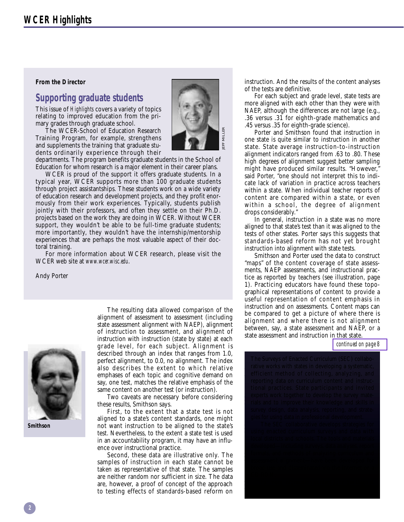#### <span id="page-1-0"></span>**From the Director**

### **Supporting graduate students**

This issue of *Highlights* covers a variety of topics relating to improved education from the primary grades through graduate school.

The WCER-School of Education Research Training Program, for example, strengthens and supplements the training that graduate students ordinarily experience through their



departments. The program benefits graduate students in the School of Education for whom research is a major element in their career plans.

WCER is proud of the support it offers graduate students. In a typical year, WCER supports more than 100 graduate students through project assistantships. These students work on a wide variety of education research and development projects, and they profit enormously from their work experiences. Typically, students publish jointly with their professors, and often they settle on their Ph.D. projects based on the work they are doing in WCER. Without WCER support, they wouldn't be able to be full-time graduate students; more importantly, they wouldn't have the internship/mentorship experiences that are perhaps the most valuable aspect of their doctoral training.

For more information about WCER research, please visit the WCER web site at *www.wcer.wisc.edu*.

Andy Porter



**Smithson**

The resulting data allowed comparison of the alignment of assessment to assessment (including state assessment alignment with NAEP), alignment of instruction to assessment, and alignment of instruction with instruction (state by state) at each grade level, for each subject. Alignment is described through an index that ranges from 1.0, perfect alignment, to 0.0, no alignment. The index also describes the extent to which relative emphases of each topic and cognitive demand on say, one test, matches the relative emphasis of the same content on another test (or instruction).

Two caveats are necessary before considering these results, Smithson says.

First, to the extent that a state test is not aligned to a state's content standards, one might not want instruction to be aligned to the state's test. Nevertheless, to the extent a state test is used in an accountability program, it may have an influence over instructional practice.

Second, these data are illustrative only. The samples of instruction in each state cannot be taken as representative of that state. The samples are neither random nor sufficient in size. The data are, however, a proof of concept of the approach to testing effects of standards-based reform on

instruction. And the results of the content analyses of the tests are definitive.

For each subject and grade level, state tests are more aligned with each other than they were with NAEP, although the differences are not large (e.g., .36 versus .31 for eighth-grade mathematics and .45 versus .35 for eighth-grade science).

Porter and Smithson found that instruction in one state is quite similar to instruction in another state. State average instruction-to-instruction alignment indicators ranged from .63 to .80. These high degrees of alignment suggest better sampling might have produced similar results. "However," said Porter, "one should not interpret this to indicate lack of variation in practice across teachers within a state. When individual teacher reports of content are compared within a state, or even within a school, the degree of alignment drops considerably."

In general, instruction in a state was no more aligned to that state's test than it was aligned to the tests of other states. Porter says this suggests that standards-based reform has not yet brought instruction into alignment with state tests.

Smithson and Porter used the data to construct "maps" of the content coverage of state assessments, NAEP assessments, and instructional practice as reported by teachers (see illustration, page 1). Practicing educators have found these topographical representations of content to provide a useful representation of content emphasis in instruction and on assessments. Content maps can be compared to get a picture of where there is alignment and where there is not alignment between, say, a state assessment and NAEP, or a state assessment and instruction in that state.

*[continued on page 8](#page-7-0)*

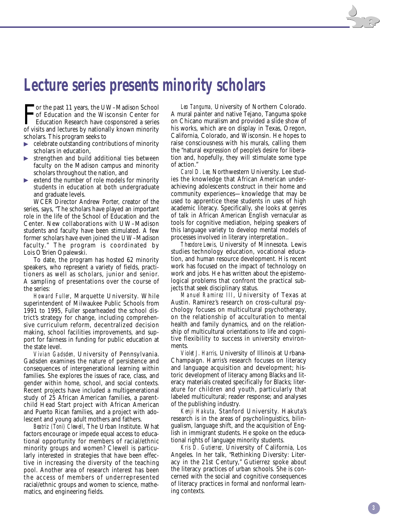### <span id="page-2-0"></span>**Lecture series presents minority scholars**

F<sub>of vi</sub> **Tor the past 11 years, the UW–Madison School** of Education and the Wisconsin Center for Education Research have cosponsored a series of visits and lectures by nationally known minority scholars. This program seeks to

- celebrate outstanding contributions of minority scholars in education,
- strengthen and build additional ties between faculty on the Madison campus and minority scholars throughout the nation, and
- extend the number of role models for minority students in education at both undergraduate and graduate levels.

WCER Director Andrew Porter, creator of the series, says, "The scholars have played an important role in the life of the School of Education and the Center. New collaborations with UW–Madison students and faculty have been stimulated. A few former scholars have even joined the UW–Madison faculty." The program is coordinated by Lois O'Brien Opalewski.

To date, the program has hosted 62 minority speakers, who represent a variety of fields, practitioners as well as scholars, junior and senior. A sampling of presentations over the course of the series:

*Howard Fuller*, Marquette University. While superintendent of Milwaukee Public Schools from 1991 to 1995, Fuller spearheaded the school district's strategy for change, including comprehensive curriculum reform, decentralized decision making, school facilities improvements, and support for fairness in funding for public education at the state level.

*Vivian Gadsden,* University of Pennsylvania. Gadsden examines the nature of persistence and consequences of intergenerational learning within families. She explores the issues of race, class, and gender within home, school, and social contexts. Recent projects have included a multigenerational study of 25 African American families, a parentchild Head Start project with African American and Puerto Rican families, and a project with adolescent and young adult mothers and fathers.

*Beatriz (Toni) Clewell*, The Urban Institute. What factors encourage or impede equal access to educational opportunity for members of racial/ethnic minority groups and women? Clewell is particularly interested in strategies that have been effective in increasing the diversity of the teaching pool. Another area of research interest has been the access of members of underrepresented racial/ethnic groups and women to science, mathematics, and engineering fields.

*Leo Tanguma,* University of Northern Colorado. A mural painter and native Tejano, Tanguma spoke on Chicano muralism and provided a slide show of his works, which are on display in Texas, Oregon, California, Colorado, and Wisconsin. He hopes to raise consciousness with his murals, calling them the "natural expression of people's desire for liberation and, hopefully, they will stimulate some type of action."

*Carol D. Lee,* Northwestern University. Lee studies the knowledge that African American underachieving adolescents construct in their home and community experiences—knowledge that may be used to apprentice these students in uses of high academic literacy. Specifically, she looks at genres of talk in African American English vernacular as tools for cognitive mediation, helping speakers of this language variety to develop mental models of processes involved in literary interpretation..

*Theodore Lewis,* University of Minnesota. Lewis studies technology education, vocational education, and human resource development. His recent work has focused on the impact of technology on work and jobs. He has written about the epistemological problems that confront the practical subjects that seek disciplinary status.

*Manuel Ramirez III*, University of Texas at Austin. Ramirez's research on cross-cultural psychology focuses on multicultural psychotherapy, on the relationship of acculturation to mental health and family dynamics, and on the relationship of multicultural orientations to life and cognitive flexibility to success in university environments.

*Violet J. Harris,* University of Illinois at Urbana-Champaign. Harris's research focuses on literacy and language acquisition and development; historic development of literacy among Blacks and literacy materials created specifically for Blacks; literature for children and youth, particularly that labeled multicultural; reader response; and analyses of the publishing industry.

*Kenji Hakuta,* Stanford University. Hakuta's research is in the areas of psycholinguistics, bilingualism, language shift, and the acquisition of English in immigrant students. He spoke on the educational rights of language minority students.

*Kris D. Gutierrez,* University of California, Los Angeles. In her talk, "Rethinking Diversity: Literacy in the 21st Century," Gutierrez spoke about the literacy practices of urban schools. She is concerned with the social and cognitive consequences of literacy practices in formal and nonformal learning contexts.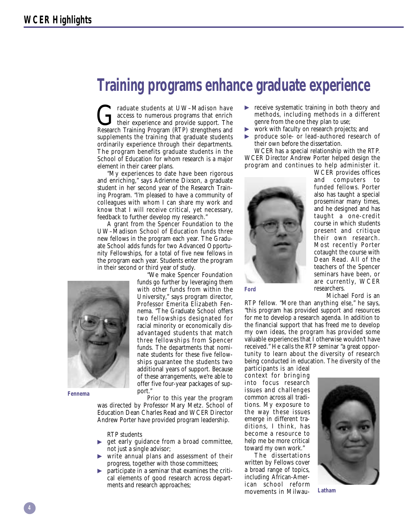## <span id="page-3-0"></span>**Training programs enhance graduate experience**

Graduate students at UW–Madison have<br>access to numerous programs that enrich<br>their experience and provide support. The<br>Research Training Program (RTP) strengthens and access to numerous programs that enrich their experience and provide support. The Research Training Program (RTP) strengthens and supplements the training that graduate students ordinarily experience through their departments. The program benefits graduate students in the School of Education for whom research is a major element in their career plans.

"My experiences to date have been rigorous and enriching," says Adrienne Dixson, a graduate student in her second year of the Research Training Program. "I'm pleased to have a community of colleagues with whom I can share my work and know that I will receive critical, yet necessary, feedback to further develop my research."

A grant from the Spencer Foundation to the UW–Madison School of Education funds three new fellows in the program each year. The Graduate School adds funds for two Advanced Opportunity Fellowships, for a total of five new fellows in the program each year. Students enter the program in their second or third year of study.



"We make Spencer Foundation funds go further by leveraging them with other funds from within the University," says program director, Professor Emerita Elizabeth Fennema. "The Graduate School offers two fellowships designated for racial minority or economically disadvantaged students that match three fellowships from Spencer funds. The departments that nominate students for these five fellowships guarantee the students two additional years of support. Because of these arrangements, we're able to offer five four-year packages of support."

**Fennema**

Prior to this year the program was directed by Professor Mary Metz. School of Education Dean Charles Read and WCER Director Andrew Porter have provided program leadership.

RTP students

- get early guidance from a broad committee, not just a single advisor;
- write annual plans and assessment of their progress, together with those committees;
- participate in a seminar that examines the critical elements of good research across departments and research approaches;
- receive systematic training in both theory and methods, including methods in a different genre from the one they plan to use;
- work with faculty on research projects; and
- produce sole- or lead-authored research of their own before the dissertation.

WCER has a special relationship with the RTP. WCER Director Andrew Porter helped design the program and continues to help administer it.



WCER provides offices and computers to funded fellows. Porter also has taught a special proseminar many times, and he designed and has taught a one-credit course in which students present and critique their own research. Most recently Porter cotaught the course with Dean Read. All of the teachers of the Spencer seminars have been, or are currently, WCER researchers.

Michael Ford is an

RTP fellow. "More than anything else," he says, "this program has provided support and resources for me to develop a research agenda. In addition to the financial support that has freed me to develop my own ideas, the program has provided some valuable experiences that I otherwise wouldn't have received." He calls the RTP seminar "a great opportunity to learn about the diversity of research being conducted in education. The diversity of the

participants is an ideal context for bringing into focus research issues and challenges common across all traditions. My exposure to the way these issues emerge in different traditions, I think, has become a resource to help me be more critical toward my own work."

The dissertations written by Fellows cover a broad range of topics, including African-American school reform movements in Milwau-



**Latham**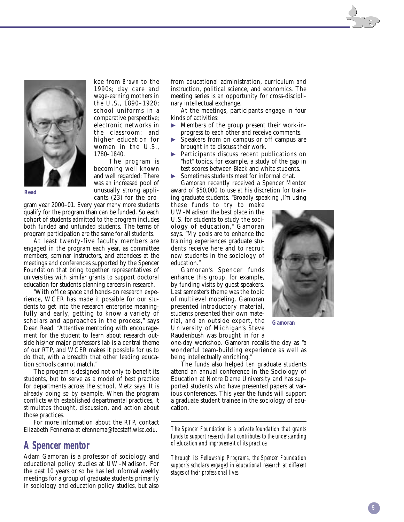

**Read**

1990s; day care and wage-earning mothers in the U.S., 1890–1920; school uniforms in a comparative perspective; electronic networks in the classroom; and higher education for women in the U.S., 1780–1840.

kee from *Brown* to the

The program is becoming well known and well regarded: There was an increased pool of unusually strong applicants (23) for the pro-

gram year 2000–01. Every year many more students qualify for the program than can be funded. So each cohort of students admitted to the program includes both funded and unfunded students. The terms of program participation are the same for all students.

At least twenty-five faculty members are engaged in the program each year, as committee members, seminar instructors, and attendees at the meetings and conferences supported by the Spencer Foundation that bring together representatives of universities with similar grants to support doctoral education for students planning careers in research.

"With office space and hands-on research experience, WCER has made it possible for our students to get into the research enterprise meaningfully and early, getting to know a variety of scholars and approaches in the process," says Dean Read. "Attentive mentoring with encouragement for the student to learn about research outside his/her major professor's lab is a central theme of our RTP, and WCER makes it possible for us to do that, with a breadth that other leading education schools cannot match."

The program is designed not only to benefit its students, but to serve as a model of best practice for departments across the school, Metz says. It is already doing so by example. When the program conflicts with established departmental practices, it stimulates thought, discussion, and action about those practices.

For more information about the RTP, contact Elizabeth Fennema at efennema@facstaff.wisc.edu.

#### **A Spencer mentor**

Adam Gamoran is a professor of sociology and educational policy studies at UW–Madison. For the past 10 years or so he has led informal weekly meetings for a group of graduate students primarily in sociology and education policy studies, but also

from educational administration, curriculum and instruction, political science, and economics. The meeting series is an opportunity for cross-disciplinary intellectual exchange.

At the meetings, participants engage in four kinds of activities:

- - Members of the group present their work-inprogress to each other and receive comments.
- - Speakers from on campus or off campus are brought in to discuss their work.
- - Participants discuss recent publications on "hot" topics, for example, a study of the gap in test scores between Black and white students.
- -Sometimes students meet for informal chat.

Gamoran recently received a Spencer Mentor award of \$50,000 to use at his discretion for training graduate students. "Broadly speaking ,I'm using

these funds to try to make UW–Madison the best place in the U.S. for students to study the sociology of education," Gamoran says. "My goals are to enhance the training experiences graduate students receive here and to recruit new students in the sociology of education."

Gamoran's Spencer funds enhance this group, for example, by funding visits by guest speakers. Last semester's theme was the topic of multilevel modeling. Gamoran presented introductory material, students presented their own material, and an outside expert, the University of Michigan's Steve Raudenbush was brought in for a

one-day workshop. Gamoran recalls the day as "a wonderful team-building experience as well as being intellectually enriching.

The funds also helped ten graduate students attend an annual conference in the Sociology of Education at Notre Dame University and has supported students who have presented papers at various conferences. This year the funds will support a graduate student trainee in the sociology of education.

*The Spencer Foundation is a private foundation that grants funds to support research that contributes to the understanding of education and improvement of its practice.*

*Through its Fellowship Programs, the Spencer Foundation supports scholars engaged in educational research at different stages of their professional lives.*



**Gamoran**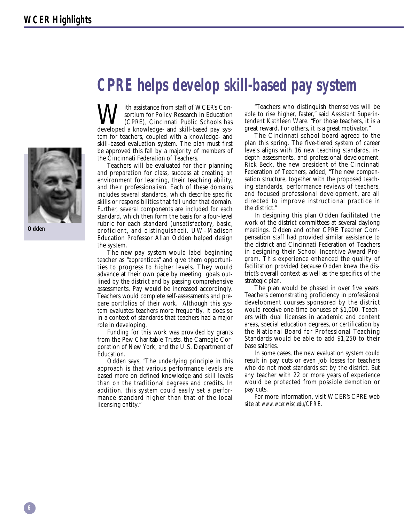

**Odden**

## <span id="page-5-0"></span>**CPRE helps develop skill-based pay system**

**W**ith assistance from staff of WCER's Con-<br>
(CPRE), Cincinnati Public Schools has<br>
developed a knowledge, and skill-based pay syssortium for Policy Research in Education developed a knowledge- and skill-based pay system for teachers, coupled with a knowledge- and skill-based evaluation system. The plan must first be approved this fall by a majority of members of the Cincinnati Federation of Teachers.

Teachers will be evaluated for their planning and preparation for class, success at creating an environment for learning, their teaching ability, and their professionalism. Each of these domains includes several standards, which describe specific skills or responsibilities that fall under that domain. Further, several components are included for each standard, which then form the basis for a four-level rubric for each standard (unsatisfactory, basic, proficient, and distinguished). UW–Madison Education Professor Allan Odden helped design the system.

The new pay system would label beginning teacher as "apprentices" and give them opportunities to progress to higher levels. They would advance at their own pace by meeting goals outlined by the district and by passing comprehensive assessments. Pay would be increased accordingly. Teachers would complete self-assessments and prepare portfolios of their work. Although this system evaluates teachers more frequently, it does so in a context of standards that teachers had a major role in developing.

Funding for this work was provided by grants from the Pew Charitable Trusts, the Carnegie Corporation of New York, and the U.S. Department of Education.

Odden says, "The underlying principle in this approach is that various performance levels are based more on defined knowledge and skill levels than on the traditional degrees and credits. In addition, this system could easily set a performance standard higher than that of the local licensing entity."

"Teachers who distinguish themselves will be able to rise higher, faster," said Assistant Superintendent Kathleen Ware. "For those teachers, it is a great reward. For others, it is a great motivator."

The Cincinnati school board agreed to the plan this spring. The five-tiered system of career levels aligns with 16 new teaching standards, indepth assessments, and professional development. Rick Beck, the new president of the Cincinnati Federation of Teachers, added, "The new compensation structure, together with the proposed teaching standards, performance reviews of teachers, and focused professional development, are all directed to improve instructional practice in the district."

In designing this plan Odden facilitated the work of the district committees at several daylong meetings. Odden and other CPRE Teacher Compensation staff had provided similar assistance to the district and Cincinnati Federation of Teachers in designing their School Incentive Award Program. This experience enhanced the quality of facilitation provided because Odden knew the district's overall context as well as the specifics of the strategic plan.

The plan would be phased in over five years. Teachers demonstrating proficiency in professional development courses sponsored by the district would receive one-time bonuses of \$1,000. Teachers with dual licenses in academic and content areas, special education degrees, or certification by the National Board for Professional Teaching Standards would be able to add \$1,250 to their base salaries.

In some cases, the new evaluation system could result in pay cuts or even job losses for teachers who do not meet standards set by the district. But any teacher with 22 or more years of experience would be protected from possible demotion or pay cuts.

For more information, visit WCER's CPRE web site at *www.wcer.wisc.edu/CPRE*.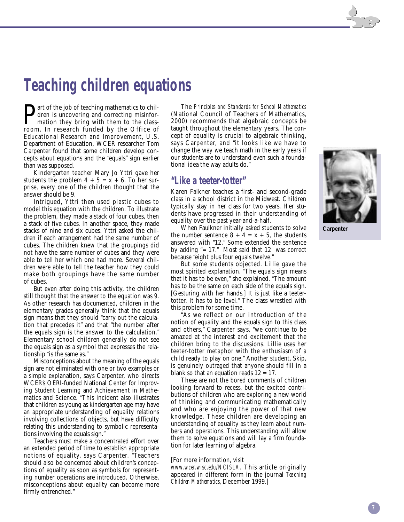# **Teaching children equations**

**P**art of the job of teaching mathematics to children is uncovering and correcting misinformation they bring with them to the classdren is uncovering and correcting misinformation they bring with them to the classroom. In research funded by the Office of Educational Research and Improvement, U.S. Department of Education, WCER researcher Tom Carpenter found that some children develop concepts about equations and the "equals" sign earlier than was supposed.

Kindergarten teacher Mary Jo Yttri gave her students the problem  $4 + 5 = x + 6$ . To her surprise, every one of the children thought that the answer should be 9.

Intrigued, Yttri then used plastic cubes to model this equation with the children. To illustrate the problem, they made a stack of four cubes, then a stack of five cubes. In another space, they made stacks of nine and six cubes. Yttri asked the children if each arrangement had the same number of cubes. The children knew that the groupings did not have the same number of cubes and they were able to tell her which one had more. Several children were able to tell the teacher how they could make both groupings have the same number of cubes.

But even after doing this activity, the children still thought that the answer to the equation was 9. As other research has documented, children in the elementary grades generally think that the equals sign means that they should "carry out the calculation that precedes it" and that "the number after the equals sign is the answer to the calculation." Elementary school children generally do not see the equals sign as a symbol that expresses the relationship "is the same as."

Misconceptions about the meaning of the equals sign are not eliminated with one or two examples or a simple explanation, says Carpenter, who directs WCER's OERI-funded National Center for Improving Student Learning and Achievement in Mathematics and Science. "This incident also illustrates that children as young as kindergarten age may have an appropriate understanding of equality relations involving collections of objects, but have difficulty relating this understanding to symbolic representations involving the equals sign."

Teachers must make a concentrated effort over an extended period of time to establish appropriate notions of equality, says Carpenter. "Teachers should also be concerned about children's conceptions of equality as soon as symbols for representing number operations are introduced. Otherwise, misconceptions about equality can become more firmly entrenched."

The *Principles and Standards for School Mathematics* (National Council of Teachers of Mathematics, 2000) recommends that algebraic concepts be taught throughout the elementary years. The concept of equality is crucial to algebraic thinking, says Carpenter, and "it looks like we have to change the way we teach math in the early years if our students are to understand even such a foundational idea the way adults do."

#### **"Like a teeter-totter"**

Karen Falkner teaches a first- and second-grade class in a school district in the Midwest. Children typically stay in her class for two years. Her students have progressed in their understanding of equality over the past year-and-a-half.

When Faulkner initially asked students to solve the number sentence  $8 + 4 = x + 5$ , the students answered with "12." Some extended the sentence by adding "= 17." Most said that 12 was correct because "eight plus four equals twelve."

But some students objected. Lillie gave the most spirited explanation. "The equals sign means that it has to be even," she explained. "The amount has to be the same on each side of the equals sign. [Gesturing with her hands.] It is just like a teetertotter. It has to be level." The class wrestled with this problem for some time.

"As we reflect on our introduction of the notion of equality and the equals sign to this class and others," Carpenter says, "we continue to be amazed at the interest and excitement that the children bring to the discussions. Lillie uses her teeter-totter metaphor with the enthusiasm of a child ready to play on one." Another student, Skip, is genuinely outraged that anyone should fill in a blank so that an equation reads  $12 = 17$ .

These are not the bored comments of children looking forward to recess, but the excited contributions of children who are exploring a new world of thinking and communicating mathematically and who are enjoying the power of that new knowledge. These children are developing an understanding of equality as they learn about numbers and operations. This understanding will allow them to solve equations and will lay a firm foundation for later learning of algebra.

#### [For more information, visit

*www.wcer.wisc.edu/NCISLA*. This article originally appeared in different form in the journal *Teaching Children Mathematics,* December 1999*.*]



**Carpenter**